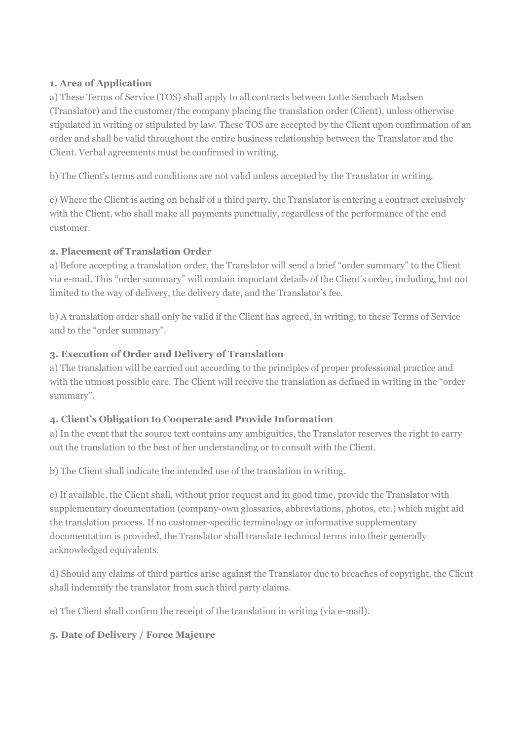## 1. Area of Application

a) These Terms of Service (TOS) shall apply to all contracts between Lotte Sembach Madsen (Translator) and the customer/the company placing the translation order (Client), unless otherwise stipulated in writing or stipulated by law. These TOS are accepted by the Client upon confirmation of an order and shall be valid throughout the entire business relationship between the Translator and the Client. Verbal agreements must be confirmed in writing.

b) The Client's terms and conditions are not valid unless accepted by the Translator in writing.

c) Where the Client is acting on behalf of a third party, the Translator is entering a contract exclusively with the Client, who shall make all payments punctually, regardless of the performance of the end customer.

# 2. Placement of Translation Order

a) Before accepting a translation order, the Translator will send a brief "order summary" to the Client via e-mail. This "order summary" will contain important details of the Client's order, including, but not limited to the way of delivery, the delivery date, and the Translator's fee.

b) A translation order shall only be valid if the Client has agreed, in writing, to these Terms of Service and to the "order summary".

# 3. Execution of Order and Delivery of Translation

a) The translation will be carried out according to the principles of proper professional practice and with the utmost possible care. The Client will receive the translation as defined in writing in the "order summary".

# 4. Client's Obligation to Cooperate and Provide Information

a) In the event that the source text contains any ambiguities, the Translator reserves the right to carry out the translation to the best of her understanding or to consult with the Client.

b) The Client shall indicate the intended use of the translation in writing.

c) If available, the Client shall, without prior request and in good time, provide the Translator with supplementary documentation (company-own glossaries, abbreviations, photos, etc.) which might aid the translation process. If no customer-specific terminology or informative supplementary documentation is provided, the Translator shall translate technical terms into their generally acknowledged equivalents.

d) Should any claims of third parties arise against the Translator due to breaches of copyright, the Client shall indemnify the translator from such third party claims.

e) The Client shall confirm the receipt of the translation in writing (via e-mail).

# 5. Date of Delivery / Force Majeure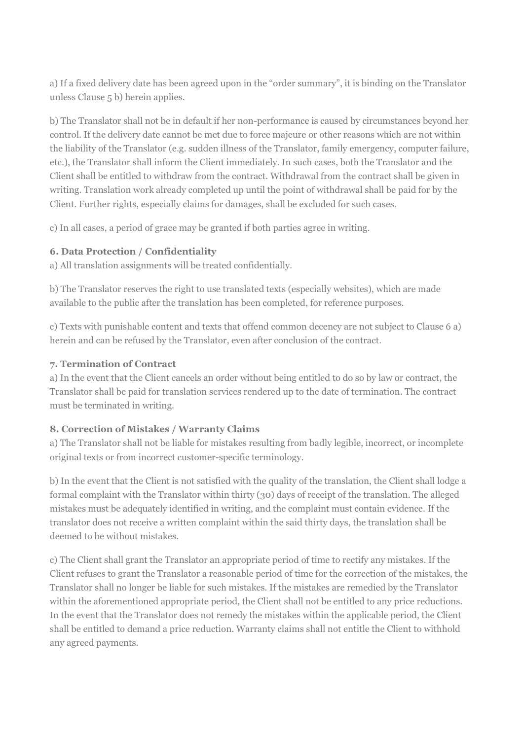a) If a fixed delivery date has been agreed upon in the "order summary", it is binding on the Translator unless Clause 5 b) herein applies.

b) The Translator shall not be in default if her non-performance is caused by circumstances beyond her control. If the delivery date cannot be met due to force majeure or other reasons which are not within the liability of the Translator (e.g. sudden illness of the Translator, family emergency, computer failure, etc.), the Translator shall inform the Client immediately. In such cases, both the Translator and the Client shall be entitled to withdraw from the contract. Withdrawal from the contract shall be given in writing. Translation work already completed up until the point of withdrawal shall be paid for by the Client. Further rights, especially claims for damages, shall be excluded for such cases.

c) In all cases, a period of grace may be granted if both parties agree in writing.

## 6. Data Protection / Confidentiality

a) All translation assignments will be treated confidentially.

b) The Translator reserves the right to use translated texts (especially websites), which are made available to the public after the translation has been completed, for reference purposes.

c) Texts with punishable content and texts that offend common decency are not subject to Clause 6 a) herein and can be refused by the Translator, even after conclusion of the contract.

## 7. Termination of Contract

a) In the event that the Client cancels an order without being entitled to do so by law or contract, the Translator shall be paid for translation services rendered up to the date of termination. The contract must be terminated in writing.

# 8. Correction of Mistakes / Warranty Claims

a) The Translator shall not be liable for mistakes resulting from badly legible, incorrect, or incomplete original texts or from incorrect customer-specific terminology.

b) In the event that the Client is not satisfied with the quality of the translation, the Client shall lodge a formal complaint with the Translator within thirty (30) days of receipt of the translation. The alleged mistakes must be adequately identified in writing, and the complaint must contain evidence. If the translator does not receive a written complaint within the said thirty days, the translation shall be deemed to be without mistakes.

c) The Client shall grant the Translator an appropriate period of time to rectify any mistakes. If the Client refuses to grant the Translator a reasonable period of time for the correction of the mistakes, the Translator shall no longer be liable for such mistakes. If the mistakes are remedied by the Translator within the aforementioned appropriate period, the Client shall not be entitled to any price reductions. In the event that the Translator does not remedy the mistakes within the applicable period, the Client shall be entitled to demand a price reduction. Warranty claims shall not entitle the Client to withhold any agreed payments.